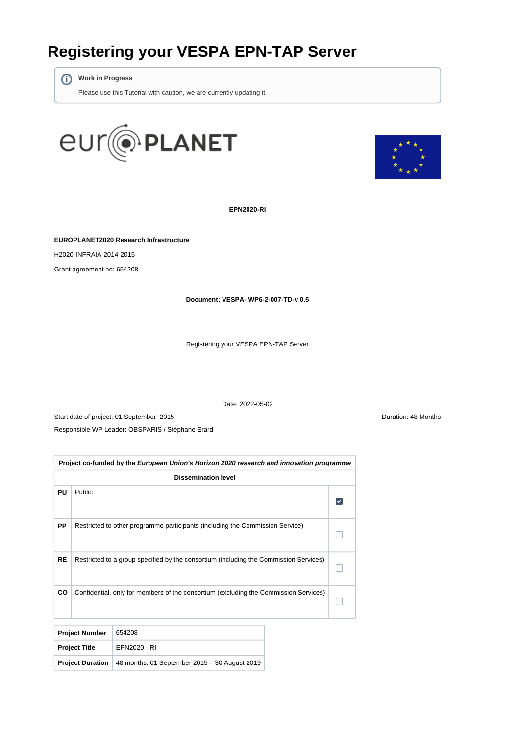# **Registering your VESPA EPN-TAP Server**

**Work in Progress**

Please use this Tutorial with caution, we are currently updating it.





**EPN2020-RI**

**EUROPLANET2020 Research Infrastructure**

H2020-INFRAIA-2014-2015

Grant agreement no: 654208

**Document: VESPA- WP6-2-007-TD-v 0.5**

Registering your VESPA EPN-TAP Server

Date: 2022-05-02

Start date of project: 01 September 2015 **Duration: 48 Months** Responsible WP Leader: OBSPARIS / Stéphane Erard

| Project co-funded by the European Union's Horizon 2020 research and innovation programme |                                                                                       |  |  |  |  |
|------------------------------------------------------------------------------------------|---------------------------------------------------------------------------------------|--|--|--|--|
| <b>Dissemination level</b>                                                               |                                                                                       |  |  |  |  |
| PU                                                                                       | Public                                                                                |  |  |  |  |
| <b>PP</b>                                                                                | Restricted to other programme participants (including the Commission Service)         |  |  |  |  |
| <b>RE</b>                                                                                | Restricted to a group specified by the consortium (including the Commission Services) |  |  |  |  |
| CO                                                                                       | Confidential, only for members of the consortium (excluding the Commission Services)  |  |  |  |  |
|                                                                                          |                                                                                       |  |  |  |  |

| <b>Project Number</b> | 654208                                                                  |
|-----------------------|-------------------------------------------------------------------------|
| <b>Project Title</b>  | EPN2020 - RI                                                            |
|                       | <b>Project Duration</b>   48 months: 01 September 2015 - 30 August 2019 |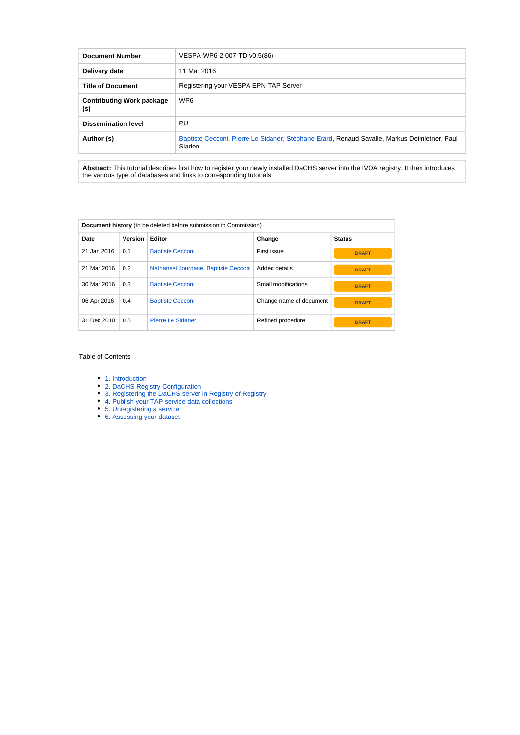| <b>Document Number</b>                  | VESPA-WP6-2-007-TD-v0.5(86)                                                                            |  |
|-----------------------------------------|--------------------------------------------------------------------------------------------------------|--|
| Delivery date                           | 11 Mar 2016                                                                                            |  |
| <b>Title of Document</b>                | Registering your VESPA EPN-TAP Server                                                                  |  |
| <b>Contributing Work package</b><br>(s) | WP <sub>6</sub>                                                                                        |  |
| <b>Dissemination level</b>              | PU                                                                                                     |  |
| Author (s)                              | Baptiste Cecconi, Pierre Le Sidaner, Stéphane Erard, Renaud Savalle, Markus Deimletner, Paul<br>Sladen |  |

**Abstract:** This tutorial describes first how to register your newly installed DaCHS server into the IVOA registry. It then introduces the various type of databases and links to corresponding tutorials.

| <b>Document history</b> (to be deleted before submission to Commission) |         |                                      |                         |               |  |
|-------------------------------------------------------------------------|---------|--------------------------------------|-------------------------|---------------|--|
| Date                                                                    | Version | Editor                               | Change                  | <b>Status</b> |  |
| 21 Jan 2016                                                             | 0.1     | <b>Baptiste Cecconi</b>              | First issue             | <b>DRAFT</b>  |  |
| 21 Mar 2016                                                             | 0.2     | Nathanael Jourdane, Baptiste Cecconi | Added details           | <b>DRAFT</b>  |  |
| 30 Mar 2016                                                             | 0.3     | <b>Baptiste Cecconi</b>              | Small modifications     | <b>DRAFT</b>  |  |
| 06 Apr 2016                                                             | 0.4     | <b>Baptiste Cecconi</b>              | Change name of document | <b>DRAFT</b>  |  |
| 31 Dec 2018                                                             | 0.5     | Pierre Le Sidaner                    | Refined procedure       | <b>DRAFT</b>  |  |

#### Table of Contents

- [1. Introduction](#page-2-0)
- [2. DaCHS Registry Configuration](#page-3-0)
- [3. Registering the DaCHS server in Registry of Registry](#page-4-0)
- [4. Publish your TAP service data collections](#page-4-1)
- [5. Unregistering a service](#page-5-0)
- [6. Assessing your dataset](#page-5-1)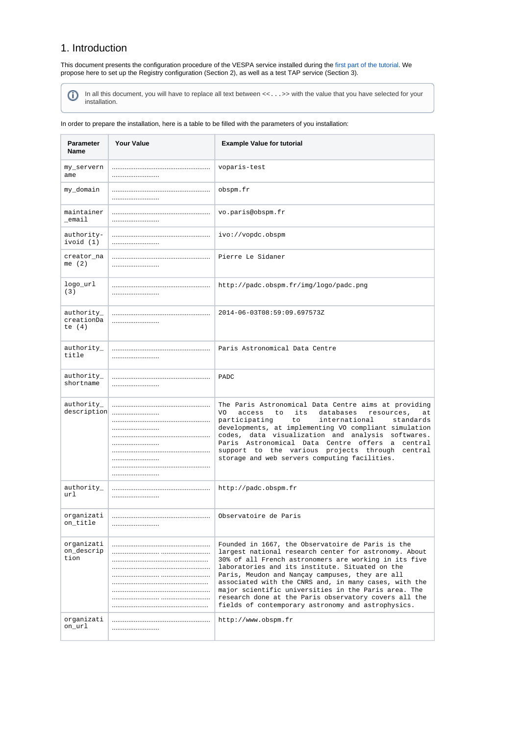## <span id="page-2-0"></span>1. Introduction

This document presents the configuration procedure of the VESPA service installed during the [first part of the tutorial](https://voparis-wiki.obspm.fr/display/VES/EPN-TAP+Server+Installation+for+VESPA+Data+Provider+Tutorial). We propose here to set up the Registry configuration (Section 2), as well as a test TAP service (Section 3).

In all this document, you will have to replace all text between <<...>> with the value that you have selected for your  $\odot$ in all this ad

In order to prepare the installation, here is a table to be filled with the parameters of you installation:

| <b>Parameter</b><br>Name             | <b>Your Value</b> | <b>Example Value for tutorial</b>                                                                                                                                                                                                                                                                                                                                                                                                                                                                         |
|--------------------------------------|-------------------|-----------------------------------------------------------------------------------------------------------------------------------------------------------------------------------------------------------------------------------------------------------------------------------------------------------------------------------------------------------------------------------------------------------------------------------------------------------------------------------------------------------|
| my_servern<br>ame                    |                   | voparis-test                                                                                                                                                                                                                                                                                                                                                                                                                                                                                              |
| my_domain                            |                   | obspm.fr                                                                                                                                                                                                                                                                                                                                                                                                                                                                                                  |
| maintainer<br>_email                 |                   | vo.paris@obspm.fr                                                                                                                                                                                                                                                                                                                                                                                                                                                                                         |
| authority-<br>ivoid (1)              |                   | ivo://vopdc.obspm                                                                                                                                                                                                                                                                                                                                                                                                                                                                                         |
| creator_na<br>me $(2)$               |                   | Pierre Le Sidaner                                                                                                                                                                                                                                                                                                                                                                                                                                                                                         |
| logo_url<br>(3)                      |                   | http://padc.obspm.fr/img/logo/padc.png                                                                                                                                                                                                                                                                                                                                                                                                                                                                    |
| authority_<br>creationDa<br>te $(4)$ |                   | 2014-06-03T08:59:09.697573Z                                                                                                                                                                                                                                                                                                                                                                                                                                                                               |
| authority_<br>title                  |                   | Paris Astronomical Data Centre                                                                                                                                                                                                                                                                                                                                                                                                                                                                            |
| authority_<br>shortname              |                   | PADC                                                                                                                                                                                                                                                                                                                                                                                                                                                                                                      |
| authority_<br>description            | <br><br>          | The Paris Astronomical Data Centre aims at providing<br>its<br>databases<br>resources,<br>VO<br>access<br>to<br>at<br>participating<br>to.<br>international<br>standards<br>developments, at implementing VO compliant simulation<br>codes, data visualization and analysis softwares.<br>Paris Astronomical Data Centre offers a central<br>support to the various projects through central<br>storage and web servers computing facilities.                                                             |
| authority_<br>url                    |                   | http://padc.obspm.fr                                                                                                                                                                                                                                                                                                                                                                                                                                                                                      |
| organizati<br>on_title               |                   | Observatoire de Paris                                                                                                                                                                                                                                                                                                                                                                                                                                                                                     |
| organizati<br>on_descrip<br>tion     |                   | Founded in 1667, the Observatoire de Paris is the<br>largest national research center for astronomy. About<br>30% of all French astronomers are working in its five<br>laboratories and its institute. Situated on the<br>Paris, Meudon and Nançay campuses, they are all<br>associated with the CNRS and, in many cases, with the<br>major scientific universities in the Paris area. The<br>research done at the Paris observatory covers all the<br>fields of contemporary astronomy and astrophysics. |
| organizati<br>on url                 |                   | http://www.obspm.fr                                                                                                                                                                                                                                                                                                                                                                                                                                                                                       |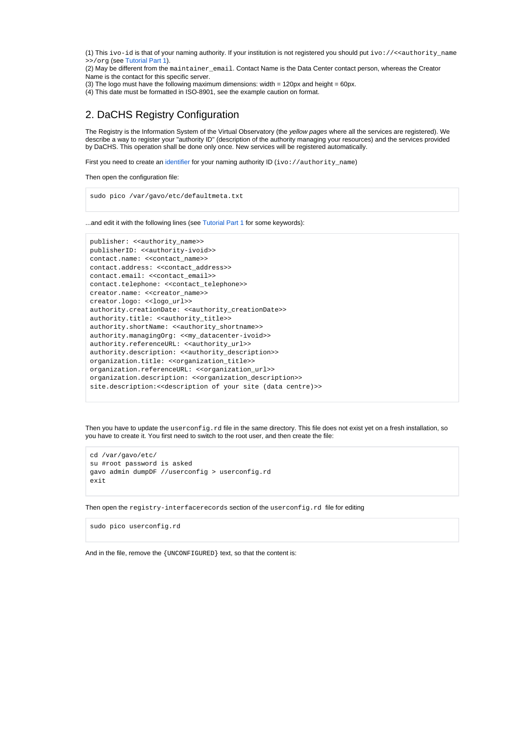(1) This ivo-id is that of your naming authority. If your institution is not registered you should put ivo://<<authority\_name >>/org (see [Tutorial Part 1\)](https://voparis-wiki.obspm.fr/display/VES/EPN-TAP+Server+Installation+for+VESPA+Data+Provider+Tutorial).

(2) May be different from the maintainer\_email. Contact Name is the Data Center contact person, whereas the Creator Name is the contact for this specific server.

(3) The logo must have the following maximum dimensions: width = 120px and height = 60px.

(4) This date must be formatted in ISO-8901, see the example caution on format.

# <span id="page-3-0"></span>2. DaCHS Registry Configuration

The Registry is the Information System of the Virtual Observatory (the yellow pages where all the services are registered). We describe a way to register your "authority ID" (description of the authority managing your resources) and the services provided by DaCHS. This operation shall be done only once. New services will be registered automatically.

First you need to create an [identifier](https://voparis-wiki.obspm.fr/display/VES/Service+Identifiers) for your naming authority ID (ivo://authority\_name)

Then open the configuration file:

sudo pico /var/gavo/etc/defaultmeta.txt

...and edit it with the following lines (see [Tutorial Part 1](https://voparis-wiki.obspm.fr/display/VES/EPN-TAP+Server+Installation+for+VESPA+Data+Provider+Tutorial) for some keywords):

```
publisher: <<authority_name>>
publisherID: <<authority-ivoid>>
contact.name: <<contact_name>> 
contact.address: <<contact_address>>
contact.email: <<contact_email>>
contact.telephone: <<contact_telephone>>
creator.name: <<creator_name>>
creator.logo: <<logo_url>>
authority.creationDate: <<authority_creationDate>>
authority.title: <<authority_title>>
authority.shortName: <<authority_shortname>>
authority.managingOrg: <<my_datacenter-ivoid>>
authority.referenceURL: <<authority_url>>
authority.description: <<authority_description>>
organization.title: <<organization_title>>
organization.referenceURL: <<organization_url>>
organization.description: <<organization_description>>
site.description:<<description of your site (data centre)>>
```
Then you have to update the userconfig.rd file in the same directory. This file does not exist yet on a fresh installation, so you have to create it. You first need to switch to the root user, and then create the file:

```
cd /var/gavo/etc/
su #root password is asked
gavo admin dumpDF //userconfig > userconfig.rd
exit
```
Then open the registry-interfacerecords section of the userconfig.rd file for editing

sudo pico userconfig.rd

And in the file, remove the {UNCONFIGURED} text, so that the content is: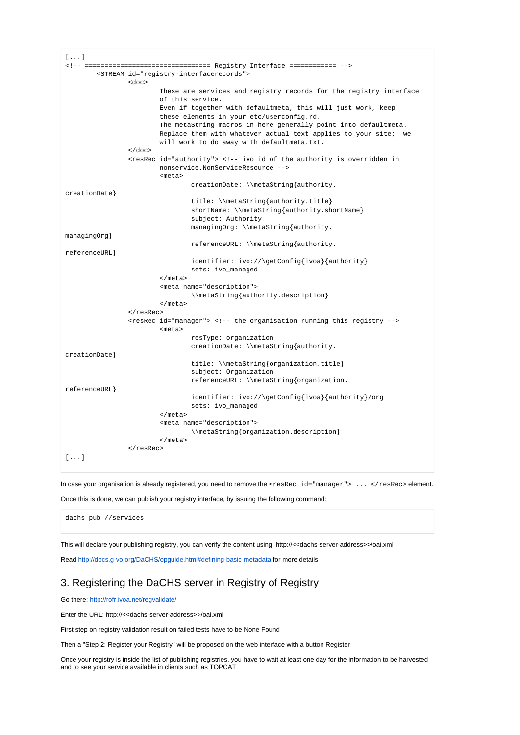```
[...]
<!-- ================================ Registry Interface ============ -->
         <STREAM id="registry-interfacerecords">
                 <doc>
                          These are services and registry records for the registry interface
                          of this service.
                          Even if together with defaultmeta, this will just work, keep
                          these elements in your etc/userconfig.rd.
                          The metaString macros in here generally point into defaultmeta.
                         Replace them with whatever actual text applies to your site; we
                          will work to do away with defaultmeta.txt.
                 </doc>
                  <resRec id="authority"> <!-- ivo id of the authority is overridden in
                          nonservice.NonServiceResource -->
                          <meta>
                                  creationDate: \\metaString{authority.
creationDate} 
                                  title: \\metaString{authority.title} 
                                  shortName: \\metaString{authority.shortName} 
                                  subject: Authority
                                  managingOrg: \\metaString{authority.
managingOrg} 
                                  referenceURL: \\metaString{authority.
referenceURL} 
                                  identifier: ivo://\getConfig{ivoa}{authority}
                                  sets: ivo_managed
                         2/meta>
                          <meta name="description">
                                  \\metaString{authority.description}
                          </meta>
                  </resRec>
                  <resRec id="manager"> <!-- the organisation running this registry -->
                          <meta>
                                  resType: organization
                                  creationDate: \\metaString{authority.
creationDate} 
                                  title: \\metaString{organization.title} 
                                  subject: Organization
                                  referenceURL: \\metaString{organization.
referenceURL} 
                                  identifier: ivo://\getConfig{ivoa}{authority}/org
                                  sets: ivo_managed
                          </meta>
                          <meta name="description">
                                  \\metaString{organization.description}
                          </meta>
                  </resRec>
[...]
```
In case your organisation is already registered, you need to remove the <resRec id="manager"> ... </resRec> element.

Once this is done, we can publish your registry interface, by issuing the following command:

dachs pub //services

This will declare your publishing registry, you can verify the content using http://<<dachs-server-address>>/oai.xml

Read <http://docs.g-vo.org/DaCHS/opguide.html#defining-basic-metadata> for more details

## <span id="page-4-0"></span>3. Registering the DaCHS server in Registry of Registry

Go there: <http://rofr.ivoa.net/regvalidate/>

Enter the URL: http://<<dachs-server-address>>/oai.xml

First step on registry validation result on failed tests have to be None Found

Then a "Step 2: Register your Registry" will be proposed on the web interface with a button Register

<span id="page-4-1"></span>Once your registry is inside the list of publishing registries, you have to wait at least one day for the information to be harvested and to see your service available in clients such as TOPCAT